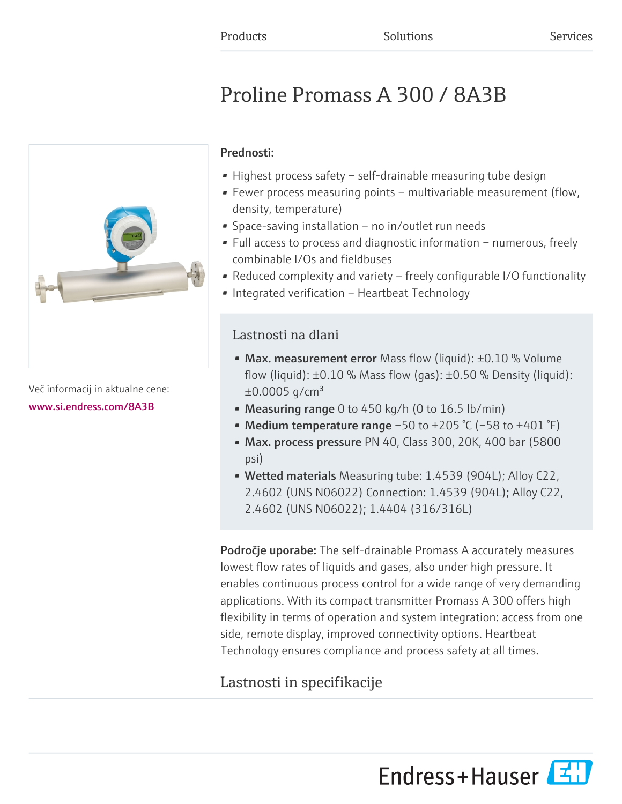# Proline Promass A 300 / 8A3B



Več informacij in aktualne cene: [www.si.endress.com/8A3B](https://www.si.endress.com/8A3B)

## Prednosti:

- Highest process safety self-drainable measuring tube design
- Fewer process measuring points multivariable measurement (flow, density, temperature)
- Space-saving installation no in/outlet run needs
- Full access to process and diagnostic information numerous, freely combinable I/Os and fieldbuses
- Reduced complexity and variety freely configurable I/O functionality
- Integrated verification Heartbeat Technology

## Lastnosti na dlani

- Max. measurement error Mass flow (liquid):  $\pm 0.10$  % Volume flow (liquid):  $\pm 0.10$  % Mass flow (gas):  $\pm 0.50$  % Density (liquid):  $\pm 0.0005$  g/cm<sup>3</sup>
- Measuring range 0 to 450 kg/h (0 to  $16.5$  lb/min)
- Medium temperature range  $-50$  to  $+205$  °C ( $-58$  to  $+401$  °F)
- Max. process pressure PN 40, Class 300, 20K, 400 bar (5800 psi)
- Wetted materials Measuring tube: 1.4539 (904L); Alloy C22, 2.4602 (UNS N06022) Connection: 1.4539 (904L); Alloy C22, 2.4602 (UNS N06022); 1.4404 (316/316L)

**Področje uporabe:** The self-drainable Promass A accurately measures lowest flow rates of liquids and gases, also under high pressure. It enables continuous process control for a wide range of very demanding applications. With its compact transmitter Promass A 300 offers high flexibility in terms of operation and system integration: access from one side, remote display, improved connectivity options. Heartbeat Technology ensures compliance and process safety at all times.

## Lastnosti in specifikacije

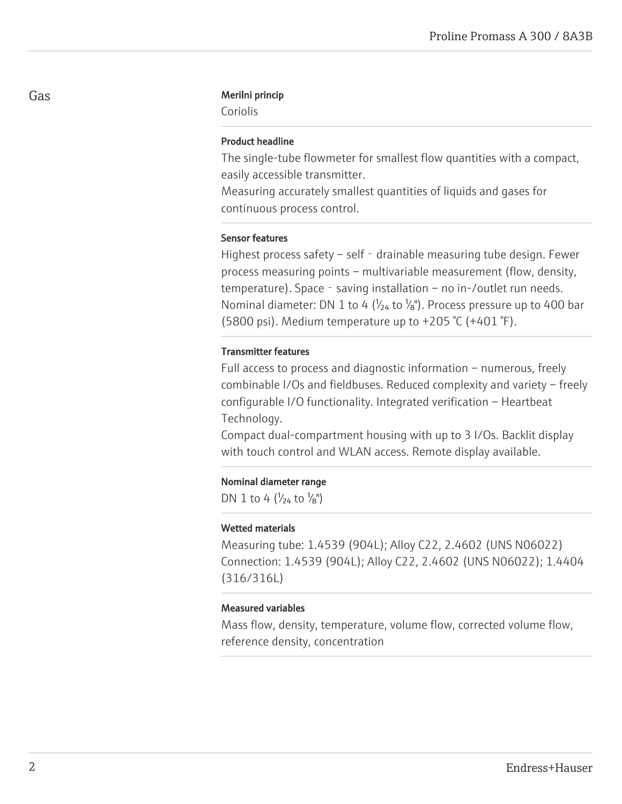#### Gas Merilni princip

Coriolis

## Product headline

The single-tube flowmeter for smallest flow quantities with a compact, easily accessible transmitter.

Measuring accurately smallest quantities of liquids and gases for continuous process control.

## Sensor features

Highest process safety – self - drainable measuring tube design. Fewer process measuring points – multivariable measurement (flow, density, temperature). Space - saving installation – no in-/outlet run needs. Nominal diameter: DN 1 to 4 ( $\frac{1}{24}$  to  $\frac{1}{8}$ ). Process pressure up to 400 bar (5800 psi). Medium temperature up to +205 °C (+401 °F).

#### Transmitter features

Full access to process and diagnostic information – numerous, freely combinable I/Os and fieldbuses. Reduced complexity and variety – freely configurable I/O functionality. Integrated verification – Heartbeat Technology.

Compact dual-compartment housing with up to 3 I/Os. Backlit display with touch control and WLAN access. Remote display available.

#### Nominal diameter range

DN 1 to 4  $\left(\frac{1}{24} \text{ to } \frac{1}{8}\right)$ 

#### Wetted materials

Measuring tube: 1.4539 (904L); Alloy C22, 2.4602 (UNS N06022) Connection: 1.4539 (904L); Alloy C22, 2.4602 (UNS N06022); 1.4404 (316/316L)

## Measured variables

Mass flow, density, temperature, volume flow, corrected volume flow, reference density, concentration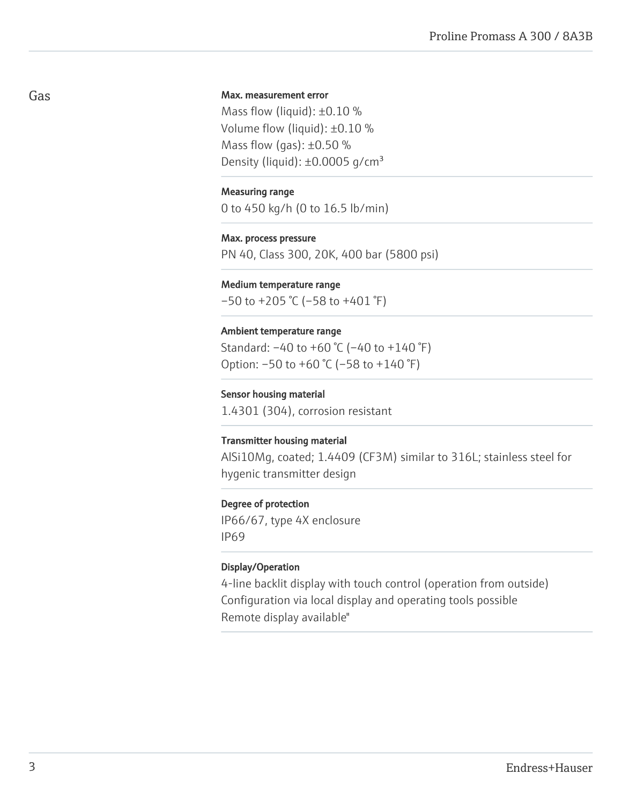## Max. measurement error

Mass flow (liquid): ±0.10 % Volume flow (liquid): ±0.10 % Mass flow (gas):  $\pm 0.50$  % Density (liquid):  $\pm 0.0005$  g/cm<sup>3</sup>

#### Measuring range

0 to 450 kg/h (0 to 16.5 lb/min)

#### Max. process pressure

PN 40, Class 300, 20K, 400 bar (5800 psi)

## Medium temperature range

 $-50$  to  $+205$  °C ( $-58$  to  $+401$  °F)

#### Ambient temperature range

Standard: –40 to +60 °C (–40 to +140 °F) Option: –50 to +60 °C (–58 to +140 °F)

## Sensor housing material

1.4301 (304), corrosion resistant

#### Transmitter housing material

AlSi10Mg, coated; 1.4409 (CF3M) similar to 316L; stainless steel for hygenic transmitter design

### Degree of protection

IP66/67, type 4X enclosure IP69

## Display/Operation

4-line backlit display with touch control (operation from outside) Configuration via local display and operating tools possible Remote display available"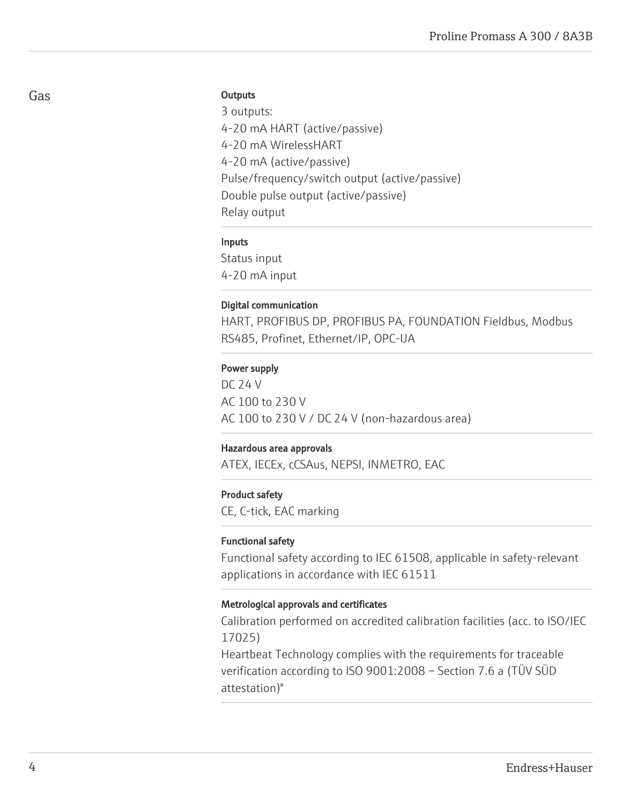## **Outputs**

3 outputs: 4-20 mA HART (active/passive) 4-20 mA WirelessHART 4-20 mA (active/passive) Pulse/frequency/switch output (active/passive) Double pulse output (active/passive) Relay output

## Inputs

Status input 4-20 mA input

## Digital communication

HART, PROFIBUS DP, PROFIBUS PA, FOUNDATION Fieldbus, Modbus RS485, Profinet, Ethernet/IP, OPC-UA

## Power supply

DC 24 V AC 100 to 230 V AC 100 to 230 V / DC 24 V (non-hazardous area)

## Hazardous area approvals

ATEX, IECEx, cCSAus, NEPSI, INMETRO, EAC

#### Product safety

CE, C-tick, EAC marking

#### Functional safety

Functional safety according to IEC 61508, applicable in safety-relevant applications in accordance with IEC 61511

### Metrological approvals and certificates

Calibration performed on accredited calibration facilities (acc. to ISO/IEC 17025)

Heartbeat Technology complies with the requirements for traceable verification according to ISO 9001:2008 – Section 7.6 a (TÜV SÜD attestation)"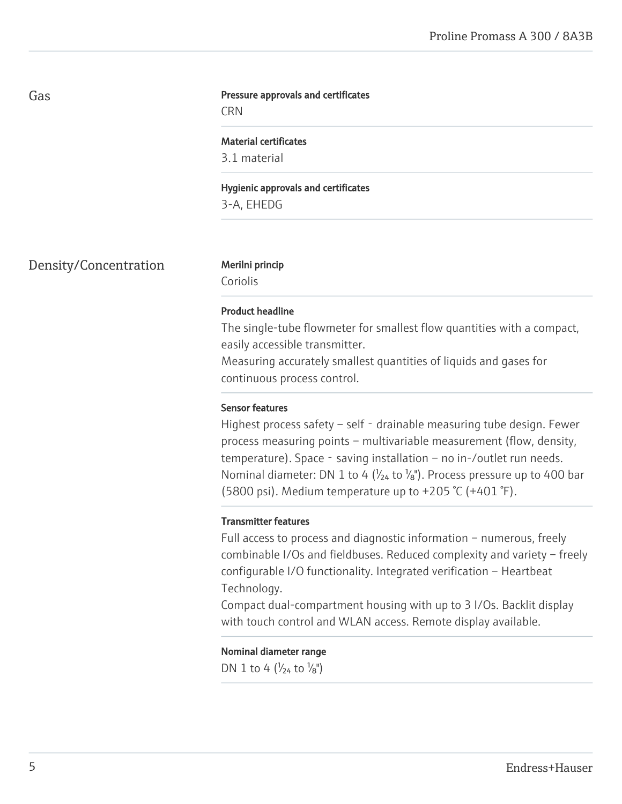## Gas

#### Pressure approvals and certificates

**CRN** 

## Material certificates

3.1 material

Hygienic approvals and certificates 3-A, EHEDG

Density/Concentration Merilni princip

Coriolis

## Product headline

The single-tube flowmeter for smallest flow quantities with a compact, easily accessible transmitter.

Measuring accurately smallest quantities of liquids and gases for continuous process control.

## Sensor features

Highest process safety – self - drainable measuring tube design. Fewer process measuring points – multivariable measurement (flow, density, temperature). Space - saving installation – no in-/outlet run needs. Nominal diameter: DN 1 to 4 ( $\frac{1}{24}$  to  $\frac{1}{8}$ ). Process pressure up to 400 bar (5800 psi). Medium temperature up to +205 °C (+401 °F).

## Transmitter features

Full access to process and diagnostic information – numerous, freely combinable I/Os and fieldbuses. Reduced complexity and variety – freely configurable I/O functionality. Integrated verification – Heartbeat Technology.

Compact dual-compartment housing with up to 3 I/Os. Backlit display with touch control and WLAN access. Remote display available.

Nominal diameter range DN 1 to 4  $(V_{24}$  to  $V_{8}$ ")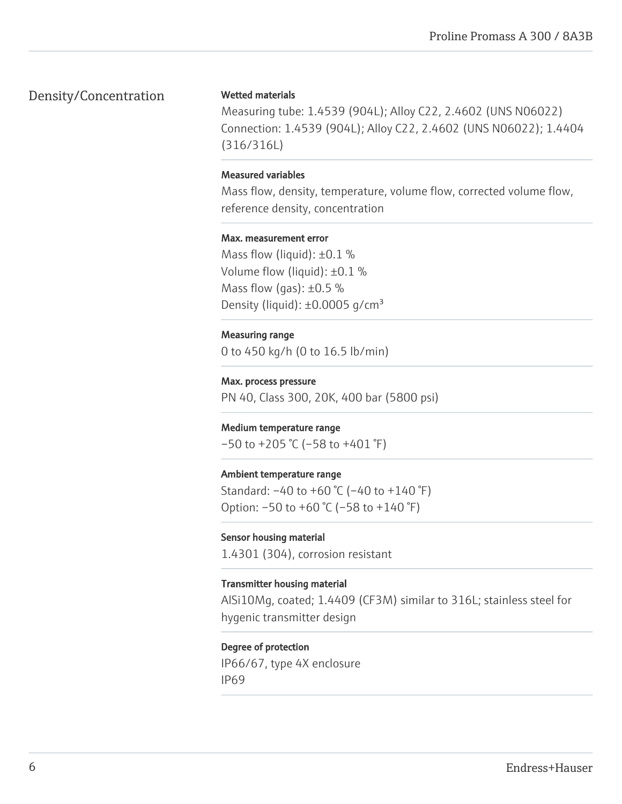## Density/Concentration

## Wetted materials

Measuring tube: 1.4539 (904L); Alloy C22, 2.4602 (UNS N06022) Connection: 1.4539 (904L); Alloy C22, 2.4602 (UNS N06022); 1.4404 (316/316L)

## Measured variables

Mass flow, density, temperature, volume flow, corrected volume flow, reference density, concentration

## Max. measurement error

Mass flow (liquid):  $\pm 0.1$  % Volume flow (liquid): ±0.1 % Mass flow (gas):  $\pm 0.5$  % Density (liquid):  $\pm 0.0005$  g/cm<sup>3</sup>

## Measuring range

0 to 450 kg/h (0 to 16.5 lb/min)

Max. process pressure PN 40, Class 300, 20K, 400 bar (5800 psi)

## Medium temperature range  $-50$  to  $+205$  °C ( $-58$  to  $+401$  °F)

## Ambient temperature range

Standard: –40 to +60 °C (–40 to +140 °F) Option:  $-50$  to  $+60$  °C ( $-58$  to  $+140$  °F)

## Sensor housing material

1.4301 (304), corrosion resistant

## Transmitter housing material

AlSi10Mg, coated; 1.4409 (CF3M) similar to 316L; stainless steel for hygenic transmitter design

## Degree of protection

IP66/67, type 4X enclosure IP69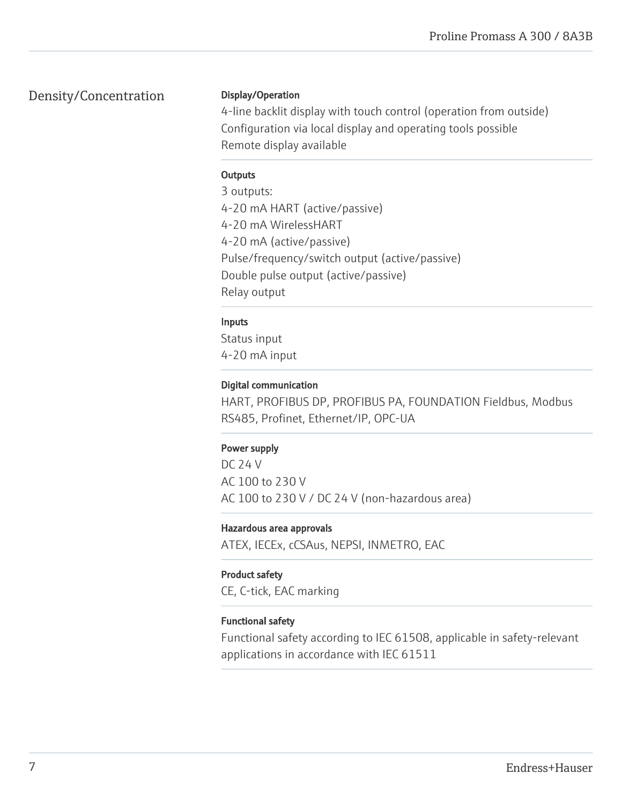## Density/Concentration

## Display/Operation

4-line backlit display with touch control (operation from outside) Configuration via local display and operating tools possible Remote display available

## **Outputs**

3 outputs: 4-20 mA HART (active/passive) 4-20 mA WirelessHART 4-20 mA (active/passive) Pulse/frequency/switch output (active/passive) Double pulse output (active/passive) Relay output

## Inputs

Status input 4-20 mA input

## Digital communication

HART, PROFIBUS DP, PROFIBUS PA, FOUNDATION Fieldbus, Modbus RS485, Profinet, Ethernet/IP, OPC-UA

## Power supply

DC 24 V AC 100 to 230 V AC 100 to 230 V / DC 24 V (non-hazardous area)

## Hazardous area approvals

ATEX, IECEx, cCSAus, NEPSI, INMETRO, EAC

## Product safety

CE, C-tick, EAC marking

## Functional safety

Functional safety according to IEC 61508, applicable in safety-relevant applications in accordance with IEC 61511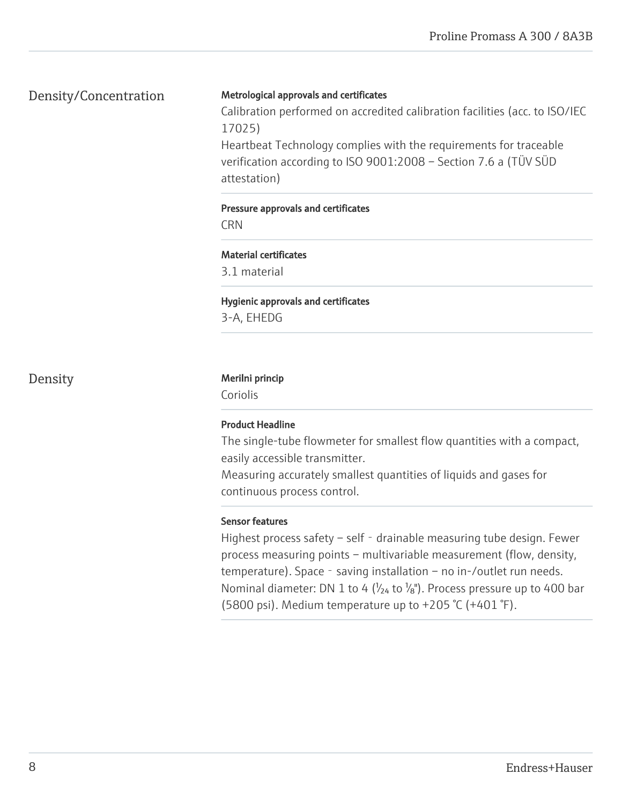## Density/Concentration

## Metrological approvals and certificates

Calibration performed on accredited calibration facilities (acc. to ISO/IEC 17025)

Heartbeat Technology complies with the requirements for traceable verification according to ISO 9001:2008 – Section 7.6 a (TÜV SÜD attestation)

## Pressure approvals and certificates

**CRN** 

## Material certificates

3.1 material

## Hygienic approvals and certificates

3-A, EHEDG

## Density Merilni princip

Coriolis

## Product Headline

The single-tube flowmeter for smallest flow quantities with a compact, easily accessible transmitter.

Measuring accurately smallest quantities of liquids and gases for continuous process control.

## Sensor features

Highest process safety – self - drainable measuring tube design. Fewer process measuring points – multivariable measurement (flow, density, temperature). Space - saving installation – no in-/outlet run needs. Nominal diameter: DN 1 to 4 ( $\frac{1}{24}$  to  $\frac{1}{8}$ ). Process pressure up to 400 bar (5800 psi). Medium temperature up to +205 °C (+401 °F).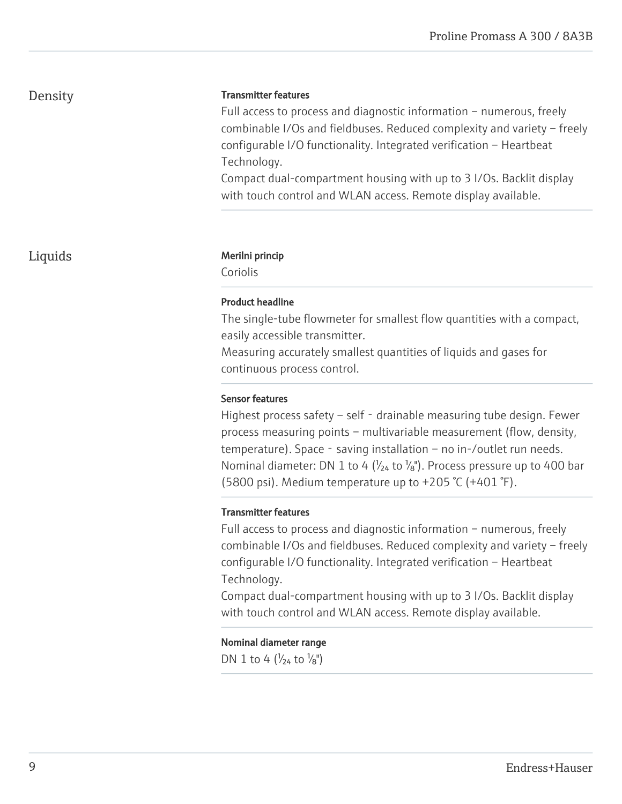## Density

## Transmitter features

Full access to process and diagnostic information – numerous, freely combinable I/Os and fieldbuses. Reduced complexity and variety – freely configurable I/O functionality. Integrated verification – Heartbeat Technology.

Compact dual-compartment housing with up to 3 I/Os. Backlit display with touch control and WLAN access. Remote display available.

## Liquids Merilni princip

Coriolis

#### Product headline

The single-tube flowmeter for smallest flow quantities with a compact, easily accessible transmitter.

Measuring accurately smallest quantities of liquids and gases for continuous process control.

## Sensor features

Highest process safety – self - drainable measuring tube design. Fewer process measuring points – multivariable measurement (flow, density, temperature). Space - saving installation – no in-/outlet run needs. Nominal diameter: DN 1 to 4 ( $\frac{1}{24}$  to  $\frac{1}{8}$ ). Process pressure up to 400 bar (5800 psi). Medium temperature up to +205 °C (+401 °F).

#### Transmitter features

Full access to process and diagnostic information – numerous, freely combinable I/Os and fieldbuses. Reduced complexity and variety – freely configurable I/O functionality. Integrated verification – Heartbeat Technology.

Compact dual-compartment housing with up to 3 I/Os. Backlit display with touch control and WLAN access. Remote display available.

## Nominal diameter range

DN 1 to 4  $\left(\frac{1}{24} \text{ to } \frac{1}{8}\right)$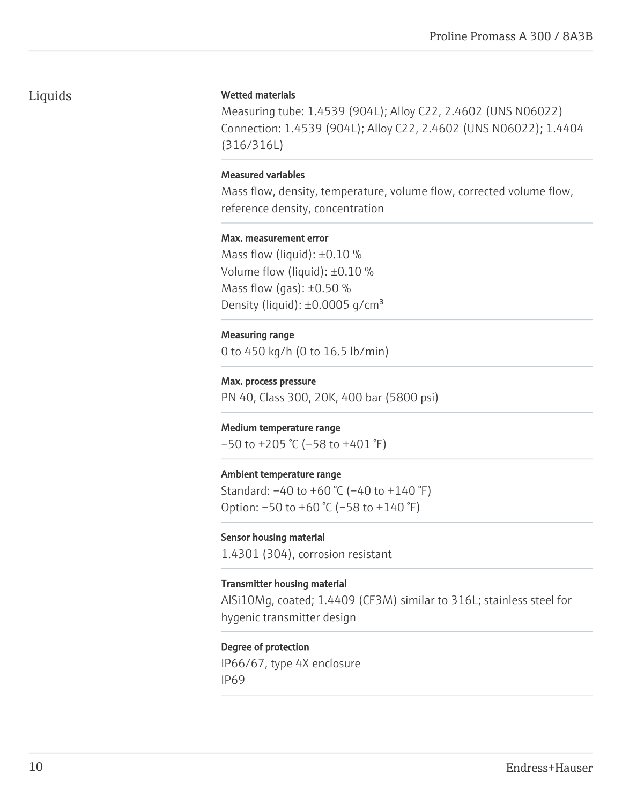## Liquids

## Wetted materials

Measuring tube: 1.4539 (904L); Alloy C22, 2.4602 (UNS N06022) Connection: 1.4539 (904L); Alloy C22, 2.4602 (UNS N06022); 1.4404 (316/316L)

## Measured variables

Mass flow, density, temperature, volume flow, corrected volume flow, reference density, concentration

#### Max. measurement error

Mass flow (liquid):  $\pm 0.10$  % Volume flow (liquid): ±0.10 % Mass flow (gas):  $\pm 0.50$  % Density (liquid):  $\pm 0.0005$  g/cm<sup>3</sup>

#### Measuring range

0 to 450 kg/h (0 to 16.5 lb/min)

Max. process pressure PN 40, Class 300, 20K, 400 bar (5800 psi)

## Medium temperature range

 $-50$  to  $+205$  °C ( $-58$  to  $+401$  °F)

## Ambient temperature range

Standard: –40 to +60 °C (–40 to +140 °F) Option:  $-50$  to  $+60$  °C ( $-58$  to  $+140$  °F)

## Sensor housing material

1.4301 (304), corrosion resistant

## Transmitter housing material

AlSi10Mg, coated; 1.4409 (CF3M) similar to 316L; stainless steel for hygenic transmitter design

## Degree of protection

IP66/67, type 4X enclosure IP69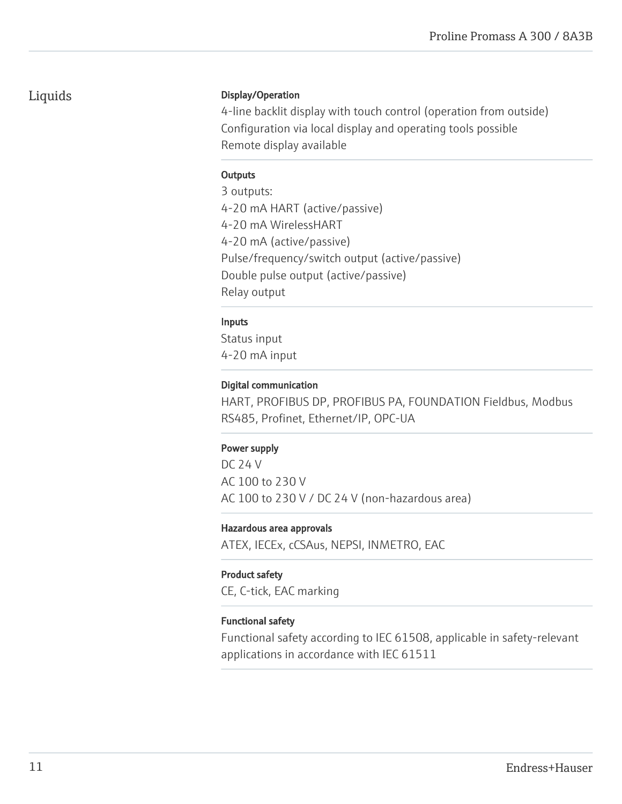## Liquids

## Display/Operation

4-line backlit display with touch control (operation from outside) Configuration via local display and operating tools possible Remote display available

## **Outputs**

3 outputs: 4-20 mA HART (active/passive) 4-20 mA WirelessHART 4-20 mA (active/passive) Pulse/frequency/switch output (active/passive) Double pulse output (active/passive) Relay output

## Inputs

Status input 4-20 mA input

## Digital communication

HART, PROFIBUS DP, PROFIBUS PA, FOUNDATION Fieldbus, Modbus RS485, Profinet, Ethernet/IP, OPC-UA

## Power supply

DC 24 V AC 100 to 230 V AC 100 to 230 V / DC 24 V (non-hazardous area)

## Hazardous area approvals

ATEX, IECEx, cCSAus, NEPSI, INMETRO, EAC

## Product safety

CE, C-tick, EAC marking

## Functional safety

Functional safety according to IEC 61508, applicable in safety-relevant applications in accordance with IEC 61511